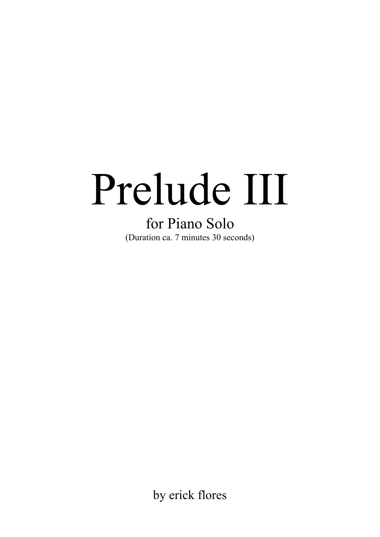## Prelude III

for Piano Solo (Duration ca. 7 minutes 30 seconds)

by erick flores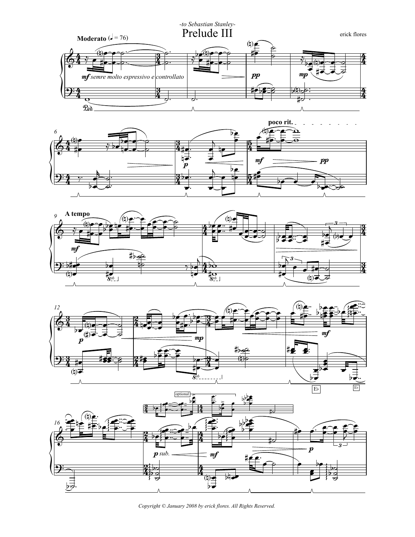







Copyright © January 2008 by erick flores. All Rights Reserved.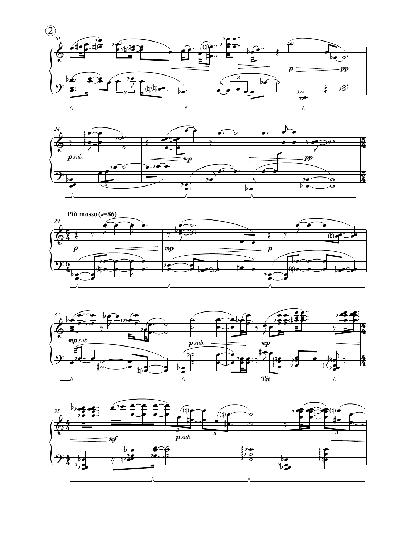